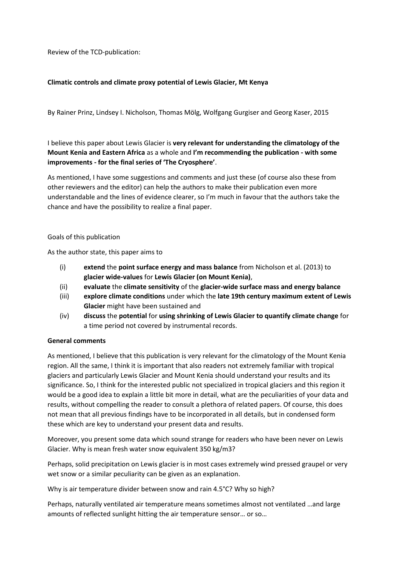Review of the TCD-publication:

# **Climatic controls and climate proxy potential of Lewis Glacier, Mt Kenya**

By Rainer Prinz, Lindsey I. Nicholson, Thomas Mölg, Wolfgang Gurgiser and Georg Kaser, 2015

I believe this paper about Lewis Glacier is **very relevant for understanding the climatology of the Mount Kenia and Eastern Africa** as a whole and **I'm recommending the publication - with some improvements - for the final series of 'The Cryosphere'**.

As mentioned, I have some suggestions and comments and just these (of course also these from other reviewers and the editor) can help the authors to make their publication even more understandable and the lines of evidence clearer, so I'm much in favour that the authors take the chance and have the possibility to realize a final paper.

#### Goals of this publication

As the author state, this paper aims to

- (i) **extend** the **point surface energy and mass balance** from Nicholson et al. (2013) to **glacier wide-values** for **Lewis Glacier (on Mount Kenia)**,
- (ii) **evaluate** the **climate sensitivity** of the **glacier-wide surface mass and energy balance**
- (iii) **explore climate conditions** under which the **late 19th century maximum extent of Lewis Glacier** might have been sustained and
- (iv) **discuss** the **potential** for **using shrinking of Lewis Glacier to quantify climate change** for a time period not covered by instrumental records.

#### **General comments**

As mentioned, I believe that this publication is very relevant for the climatology of the Mount Kenia region. All the same, I think it is important that also readers not extremely familiar with tropical glaciers and particularly Lewis Glacier and Mount Kenia should understand your results and its significance. So, I think for the interested public not specialized in tropical glaciers and this region it would be a good idea to explain a little bit more in detail, what are the peculiarities of your data and results, without compelling the reader to consult a plethora of related papers. Of course, this does not mean that all previous findings have to be incorporated in all details, but in condensed form these which are key to understand your present data and results.

Moreover, you present some data which sound strange for readers who have been never on Lewis Glacier. Why is mean fresh water snow equivalent 350 kg/m3?

Perhaps, solid precipitation on Lewis glacier is in most cases extremely wind pressed graupel or very wet snow or a similar peculiarity can be given as an explanation.

Why is air temperature divider between snow and rain 4.5°C? Why so high?

Perhaps, naturally ventilated air temperature means sometimes almost not ventilated …and large amounts of reflected sunlight hitting the air temperature sensor… or so…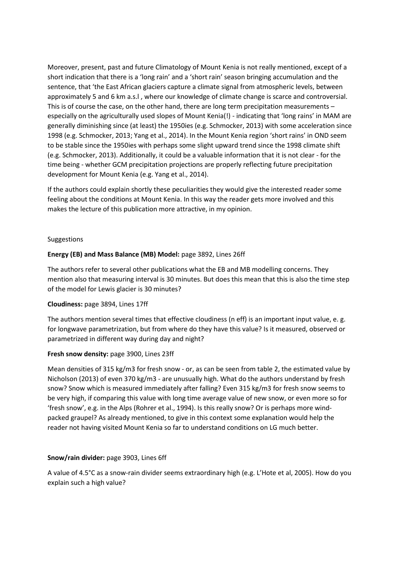Moreover, present, past and future Climatology of Mount Kenia is not really mentioned, except of a short indication that there is a 'long rain' and a 'short rain' season bringing accumulation and the sentence, that 'the East African glaciers capture a climate signal from atmospheric levels, between approximately 5 and 6 km a.s.l , where our knowledge of climate change is scarce and controversial. This is of course the case, on the other hand, there are long term precipitation measurements – especially on the agriculturally used slopes of Mount Kenia(!) - indicating that 'long rains' in MAM are generally diminishing since (at least) the 1950ies (e.g. Schmocker, 2013) with some acceleration since 1998 (e.g. Schmocker, 2013; Yang et al., 2014). In the Mount Kenia region 'short rains' in OND seem to be stable since the 1950ies with perhaps some slight upward trend since the 1998 climate shift (e.g. Schmocker, 2013). Additionally, it could be a valuable information that it is not clear - for the time being - whether GCM precipitation projections are properly reflecting future precipitation development for Mount Kenia (e.g. Yang et al., 2014).

If the authors could explain shortly these peculiarities they would give the interested reader some feeling about the conditions at Mount Kenia. In this way the reader gets more involved and this makes the lecture of this publication more attractive, in my opinion.

#### Suggestions

## **Energy (EB) and Mass Balance (MB) Model:** page 3892, Lines 26ff

The authors refer to several other publications what the EB and MB modelling concerns. They mention also that measuring interval is 30 minutes. But does this mean that this is also the time step of the model for Lewis glacier is 30 minutes?

#### **Cloudiness:** page 3894, Lines 17ff

The authors mention several times that effective cloudiness (n eff) is an important input value, e. g. for longwave parametrization, but from where do they have this value? Is it measured, observed or parametrized in different way during day and night?

#### **Fresh snow density:** page 3900, Lines 23ff

Mean densities of 315 kg/m3 for fresh snow - or, as can be seen from table 2, the estimated value by Nicholson (2013) of even 370 kg/m3 - are unusually high. What do the authors understand by fresh snow? Snow which is measured immediately after falling? Even 315 kg/m3 for fresh snow seems to be very high, if comparing this value with long time average value of new snow, or even more so for 'fresh snow', e.g. in the Alps (Rohrer et al., 1994). Is this really snow? Or is perhaps more windpacked graupel? As already mentioned, to give in this context some explanation would help the reader not having visited Mount Kenia so far to understand conditions on LG much better.

#### **Snow/rain divider:** page 3903, Lines 6ff

A value of 4.5°C as a snow-rain divider seems extraordinary high (e.g. L'Hote et al, 2005). How do you explain such a high value?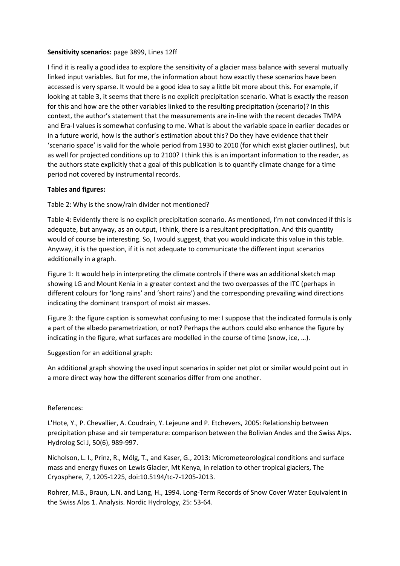### **Sensitivity scenarios:** page 3899, Lines 12ff

I find it is really a good idea to explore the sensitivity of a glacier mass balance with several mutually linked input variables. But for me, the information about how exactly these scenarios have been accessed is very sparse. It would be a good idea to say a little bit more about this. For example, if looking at table 3, it seems that there is no explicit precipitation scenario. What is exactly the reason for this and how are the other variables linked to the resulting precipitation (scenario)? In this context, the author's statement that the measurements are in-line with the recent decades TMPA and Era-I values is somewhat confusing to me. What is about the variable space in earlier decades or in a future world, how is the author's estimation about this? Do they have evidence that their 'scenario space' is valid for the whole period from 1930 to 2010 (for which exist glacier outlines), but as well for projected conditions up to 2100? I think this is an important information to the reader, as the authors state explicitly that a goal of this publication is to quantify climate change for a time period not covered by instrumental records.

## **Tables and figures:**

Table 2: Why is the snow/rain divider not mentioned?

Table 4: Evidently there is no explicit precipitation scenario. As mentioned, I'm not convinced if this is adequate, but anyway, as an output, I think, there is a resultant precipitation. And this quantity would of course be interesting. So, I would suggest, that you would indicate this value in this table. Anyway, it is the question, if it is not adequate to communicate the different input scenarios additionally in a graph.

Figure 1: It would help in interpreting the climate controls if there was an additional sketch map showing LG and Mount Kenia in a greater context and the two overpasses of the ITC (perhaps in different colours for 'long rains' and 'short rains') and the corresponding prevailing wind directions indicating the dominant transport of moist air masses.

Figure 3: the figure caption is somewhat confusing to me: I suppose that the indicated formula is only a part of the albedo parametrization, or not? Perhaps the authors could also enhance the figure by indicating in the figure, what surfaces are modelled in the course of time (snow, ice, …).

Suggestion for an additional graph:

An additional graph showing the used input scenarios in spider net plot or similar would point out in a more direct way how the different scenarios differ from one another.

#### References:

L'Hote, Y., P. Chevallier, A. Coudrain, Y. Lejeune and P. Etchevers, 2005: Relationship between precipitation phase and air temperature: comparison between the Bolivian Andes and the Swiss Alps. Hydrolog Sci J, 50(6), 989-997.

Nicholson, L. I., Prinz, R., Mölg, T., and Kaser, G., 2013: Micrometeorological conditions and surface mass and energy fluxes on Lewis Glacier, Mt Kenya, in relation to other tropical glaciers, The Cryosphere, 7, 1205-1225, doi:10.5194/tc-7-1205-2013.

Rohrer, M.B., Braun, L.N. and Lang, H., 1994. Long-Term Records of Snow Cover Water Equivalent in the Swiss Alps 1. Analysis. Nordic Hydrology, 25: 53-64.